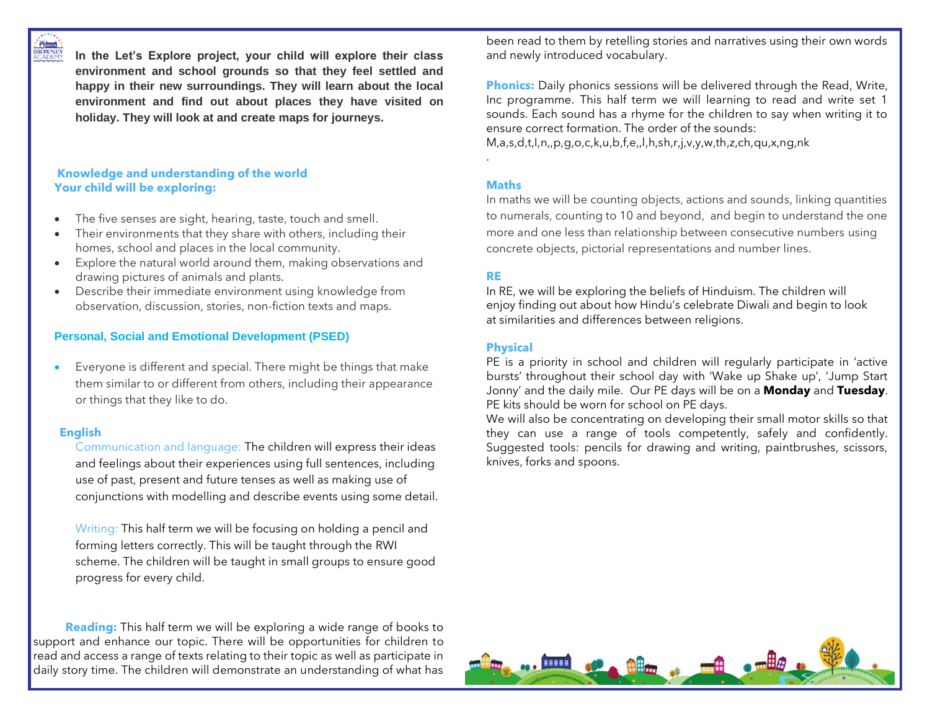#### • **In the Let's Explore project, your child will explore their class environment and school grounds so that they feel settled and happy in their new surroundings. They will learn about the local environment and find out about places they have visited on holiday. They will look at and create maps for journeys.**

#### **Knowledge and understanding of the world Your child will be exploring:**

- The five senses are sight, hearing, taste, touch and smell.
- Their environments that they share with others, including their homes, school and places in the local community.
- Explore the natural world around them, making observations and drawing pictures of animals and plants.
- Describe their immediate environment using knowledge from observation, discussion, stories, non-fiction texts and maps.

#### **Personal, Social and Emotional Development (PSED)**

• Everyone is different and special. There might be things that make them similar to or different from others, including their appearance or things that they like to do.

#### **English**

Communication and language: The children will express their ideas and feelings about their experiences using full sentences, including use of past, present and future tenses as well as making use of conjunctions with modelling and describe events using some detail.

Writing: This half term we will be focusing on holding a pencil and forming letters correctly. This will be taught through the RWI scheme. The children will be taught in small groups to ensure good progress for every child.

 **Reading:** This half term we will be exploring a wide range of books to support and enhance our topic. There will be opportunities for children to read and access a range of texts relating to their topic as well as participate in daily story time. The children will demonstrate an understanding of what has been read to them by retelling stories and narratives using their own words and newly introduced vocabulary.

**Phonics:** Daily phonics sessions will be delivered through the Read, Write, Inc programme. This half term we will learning to read and write set 1 sounds. Each sound has a rhyme for the children to say when writing it to ensure correct formation. The order of the sounds:

M,a,s,d,t,I,n,,p,g,o,c,k,u,b,f,e,,l,h,sh,r,j,v,y,w,th,z,ch,qu,x,ng,nk .

#### **Maths**

In maths we will be counting objects, actions and sounds, linking quantities to numerals, counting to 10 and beyond, and begin to understand the one more and one less than relationship between consecutive numbers using concrete objects, pictorial representations and number lines.

#### **RE**

In RE, we will be exploring the beliefs of Hinduism. The children will enjoy finding out about how Hindu's celebrate Diwali and begin to look at similarities and differences between religions.

#### **Physical**

PE is a priority in school and children will regularly participate in 'active bursts' throughout their school day with 'Wake up Shake up', 'Jump Start Jonny' and the daily mile. Our PE days will be on a **Monday** and **Tuesday**. PE kits should be worn for school on PE days.

We will also be concentrating on developing their small motor skills so that they can use a range of tools competently, safely and confidently. Suggested tools: pencils for drawing and writing, paintbrushes, scissors, knives, forks and spoons.

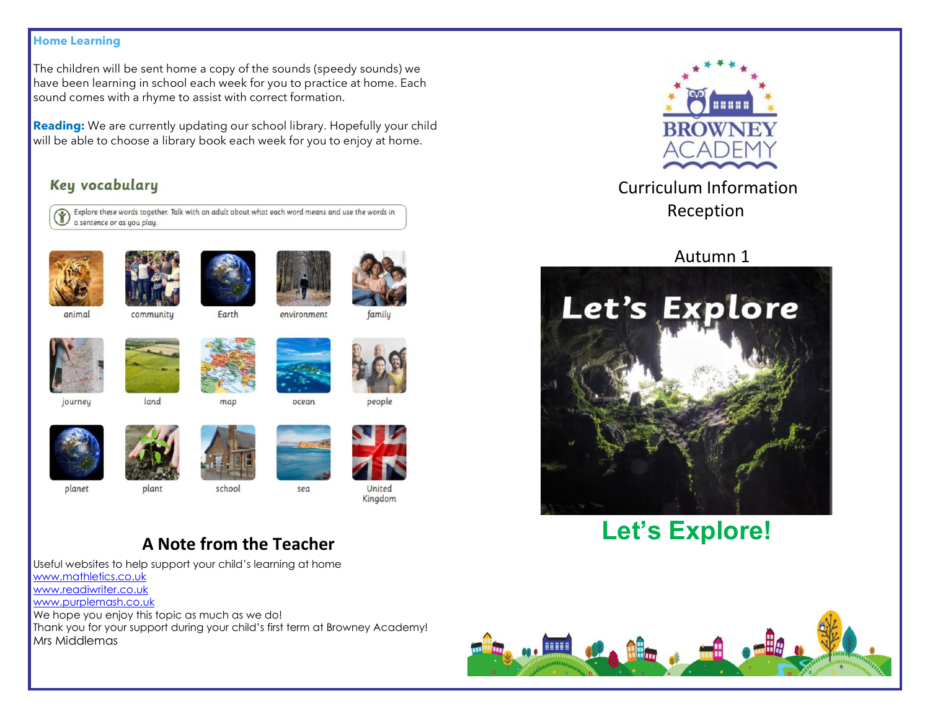#### **Home Learning**

The children will be sent home a copy of the sounds (speedy sounds) we have been learning in school each week for you to practice at home. Each sound comes with a rhyme to assist with correct formation.

**Reading:** We are currently updating our school library. Hopefully your child will be able to choose a library book each week for you to enjoy at home.

### Key vocabulary











familu

animal



journey



land

plant



map













United Kingdom

## **A Note from the Teacher**

Useful websites to help support your child's learning at home [www.mathletics.co.uk](http://www.mathletics.co.uk/) [www.readiwriter.co.uk](http://www.readiwriter.co.uk/)

[www.purplemash.co.uk](http://www.purplemash.co.uk/)

We hope you enjoy this topic as much as we do!

Thank you for your support during your child's first term at Browney Academy! Mrs Middlemas



## Curriculum Information Reception

Autumn 1



# **Let's Explore!**

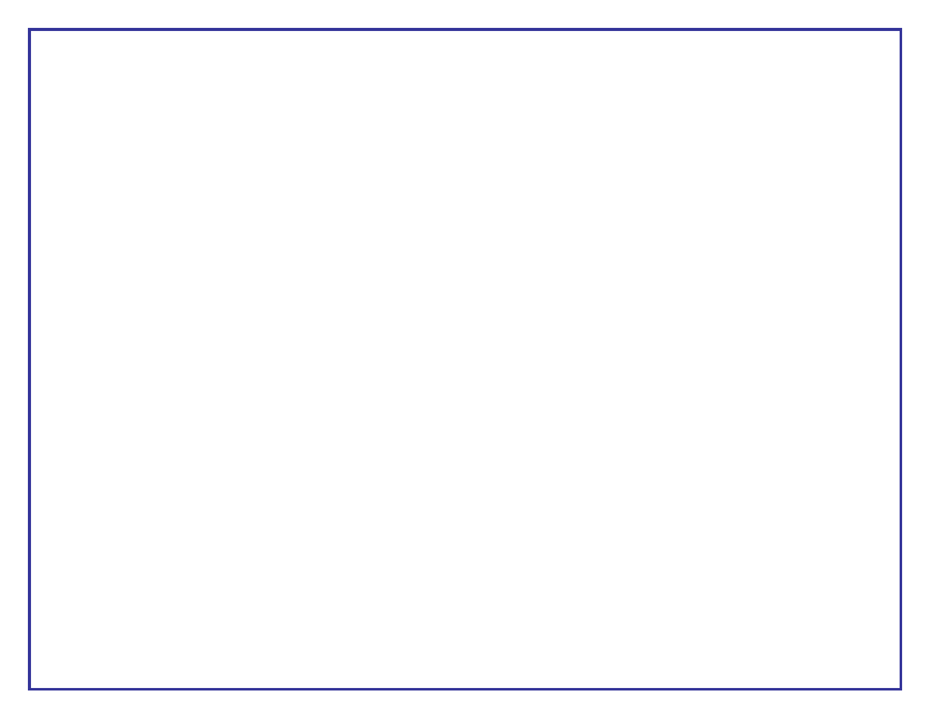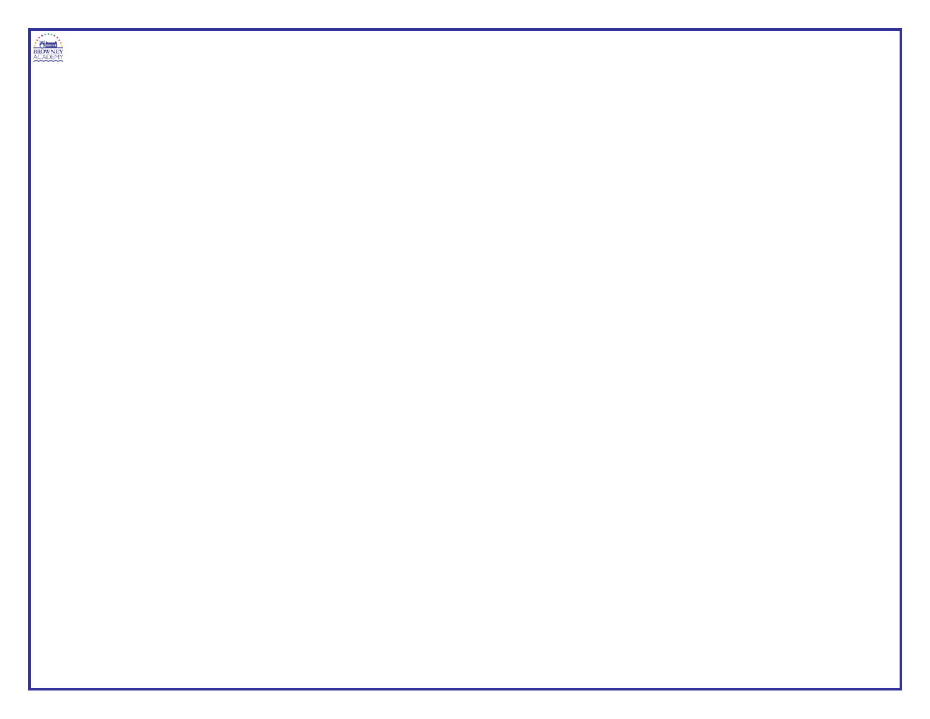